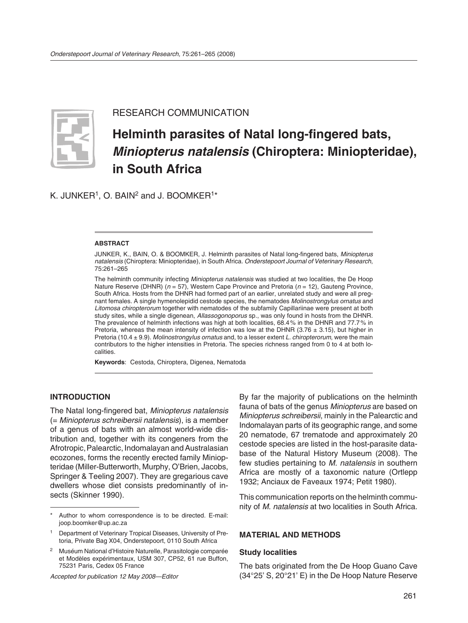

RESEARCH COMMUNICATION

# **Helminth parasites of Natal long-fingered bats,**  *Miniopterus natalensis* **(Chiroptera: Miniopteridae), in South Africa**

K. JUNKER<sup>1</sup>, O. BAIN<sup>2</sup> and J. BOOMKER<sup>1\*</sup>

#### **ABSTRACT**

JUNKER, K., BAIN, O. & BOOMKER, J. Helminth parasites of Natal long-fingered bats, *Miniopterus natalensis* (Chiroptera: Miniopteridae), in South Africa. *Onderstepoort Journal of Veterinary Research*, 75:261–265

The helminth community infecting *Miniopterus natalensis* was studied at two localities, the De Hoop Nature Reserve (DHNR) (*n* = 57), Western Cape Province and Pretoria (*n* = 12), Gauteng Province, South Africa. Hosts from the DHNR had formed part of an earlier, unrelated study and were all pregnant females. A single hymenolepidid cestode species, the nematodes *Molinostrongylus ornatus* and *Litomosa chiropterorum* together with nematodes of the subfamily Capillariinae were present at both study sites, while a single digenean, *Allassogonoporus* sp., was only found in hosts from the DHNR. The prevalence of helminth infections was high at both localities, 68.4 % in the DHNR and 77.7 % in Pretoria, whereas the mean intensity of infection was low at the DHNR (3.76  $\pm$  3.15), but higher in Pretoria (10.4 ± 9.9). *Molinostrongylus ornatus* and, to a lesser extent *L. chiropterorum*, were the main contributors to the higher intensities in Pretoria. The species richness ranged from 0 to 4 at both localities.

**Keywords**: Cestoda, Chiroptera, Digenea, Nematoda

#### **INTRODUCTION**

The Natal long-fingered bat, *Miniopterus natalensis* (= *Miniopterus schreibersii natalensis*), is a member of a genus of bats with an almost world-wide distribution and, together with its congeners from the Afrotropic, Palearctic, Indomalayan and Australasian ecozones, forms the recently erected family Miniopteridae (Miller-Butterworth, Murphy, O'Brien, Jacobs, Springer & Teeling 2007). They are gregarious cave dwellers whose diet consists predominantly of insects (Skinner 1990).

*Accepted for publication 12 May 2008—Editor*

By far the majority of publications on the helminth fauna of bats of the genus *Miniopterus* are based on *Miniopterus schreibersii*, mainly in the Palearctic and Indomalayan parts of its geographic range, and some 20 nematode, 67 trematode and approximately 20 cestode species are listed in the host-parasite database of the Natural History Museum (2008). The few studies pertaining to *M. natalensis* in southern Africa are mostly of a taxonomic nature (Ortlepp 1932; Anciaux de Faveaux 1974; Petit 1980).

This communication reports on the helminth community of *M. natalensis* at two localities in South Africa.

#### **MATERIAL AND METHODS**

#### **Study localities**

The bats originated from the De Hoop Guano Cave (34°25' S, 20°21' E) in the De Hoop Nature Reserve

Author to whom correspondence is to be directed. E-mail: joop.boomker@up.ac.za

<sup>1</sup> Department of Veterinary Tropical Diseases, University of Pretoria, Private Bag X04, Onderstepoort, 0110 South Africa

<sup>2</sup> Muséum National d'Histoire Naturelle, Parasitologie comparée et Modèles expérimentaux, USM 307, CP52, 61 rue Buffon, 75231 Paris, Cedex 05 France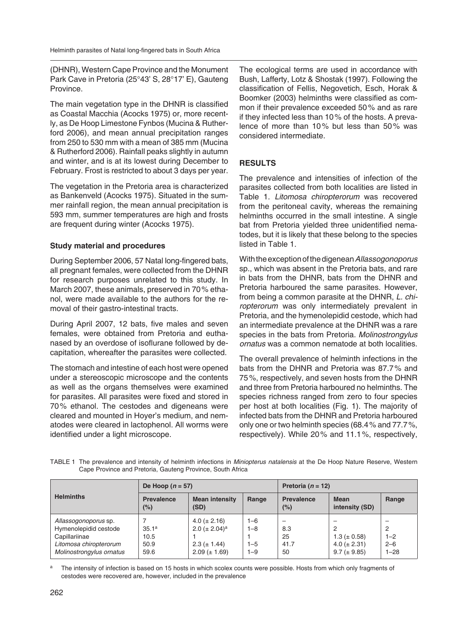(DHNR), Western Cape Province and the Monument Park Cave in Pretoria (25°43' S, 28°17' E), Gauteng Province.

The main vegetation type in the DHNR is classified as Coastal Macchia (Acocks 1975) or, more recently, as De Hoop Limestone Fynbos (Mucina & Rutherford 2006), and mean annual precipitation ranges from 250 to 530 mm with a mean of 385 mm (Mucina & Rutherford 2006). Rainfall peaks slightly in autumn and winter, and is at its lowest during December to February. Frost is restricted to about 3 days per year.

The vegetation in the Pretoria area is characterized as Bankenveld (Acocks 1975). Situated in the summer rainfall region, the mean annual precipitation is 593 mm, summer temperatures are high and frosts are frequent during winter (Acocks 1975).

## **Study material and procedures**

During September 2006, 57 Natal long-fingered bats, all pregnant females, were collected from the DHNR for research purposes unrelated to this study. In March 2007, these animals, preserved in 70 % ethanol, were made available to the authors for the removal of their gastro-intestinal tracts.

During April 2007, 12 bats, five males and seven females, were obtained from Pretoria and euthanased by an overdose of isoflurane followed by decapitation, whereafter the parasites were collected.

The stomach and intestine of each host were opened under a stereoscopic microscope and the contents as well as the organs themselves were examined for parasites. All parasites were fixed and stored in 70 % ethanol. The cestodes and digeneans were cleared and mounted in Hoyer's medium, and nematodes were cleared in lactophenol. All worms were identified under a light microscope.

The ecological terms are used in accordance with Bush, Lafferty, Lotz & Shostak (1997). Following the classification of Fellis, Negovetich, Esch, Horak & Boomker (2003) helminths were classified as common if their prevalence exceeded 50 % and as rare if they infected less than 10 % of the hosts. A prevalence of more than 10% but less than 50% was considered intermediate.

## **RESULTS**

The prevalence and intensities of infection of the parasites collected from both localities are listed in Table 1. *Litomosa chiropterorum* was recovered from the peritoneal cavity, whereas the remaining helminths occurred in the small intestine. A single bat from Pretoria yielded three unidentified nematodes, but it is likely that these belong to the species listed in Table 1.

With the exception of the digenean *Allassogonoporus*  sp., which was absent in the Pretoria bats, and rare in bats from the DHNR, bats from the DHNR and Pretoria harboured the same parasites. However, from being a common parasite at the DHNR, *L. chiropterorum* was only intermediately prevalent in Pretoria, and the hymenolepidid cestode, which had an intermediate prevalence at the DHNR was a rare species in the bats from Pretoria. *Molinostrongylus ornatus* was a common nematode at both localities.

The overall prevalence of helminth infections in the bats from the DHNR and Pretoria was 87.7 % and 75 %, respectively, and seven hosts from the DHNR and three from Pretoria harboured no helminths. The species richness ranged from zero to four species per host at both localities (Fig. 1). The majority of infected bats from the DHNR and Pretoria harboured only one or two helminth species (68.4 % and 77.7 %, respectively). While 20 % and 11.1 %, respectively,

TABLE 1 The prevalence and intensity of helminth infections in *Miniopterus natalensis* at the De Hoop Nature Reserve, Western Cape Province and Pretoria, Gauteng Province, South Africa

| <b>Helminths</b>         | De Hoop $(n = 57)$ |                                |         | Pretoria ( $n = 12$ )       |                               |          |
|--------------------------|--------------------|--------------------------------|---------|-----------------------------|-------------------------------|----------|
|                          | Prevalence<br>(%)  | <b>Mean intensity</b><br>(SD)  | Range   | <b>Prevalence</b><br>$(\%)$ | <b>Mean</b><br>intensity (SD) | Range    |
| Allassogonoporus sp.     |                    | $4.0 (\pm 2.16)$               | $1 - 6$ |                             | $\overline{\phantom{a}}$      | -        |
| Hymenolepidid cestode    | 35.1 <sup>a</sup>  | 2.0 ( $\pm$ 2.04) <sup>a</sup> | $1 - 8$ | 8.3                         | 2                             | 2        |
| Capillariinae            | 10.5               |                                |         | 25                          | $1.3 (\pm 0.58)$              | $1 - 2$  |
| Litomosa chiropterorum   | 50.9               | $2.3 (\pm 1.44)$               | $1 - 5$ | 41.7                        | 4.0 ( $\pm$ 2.31)             | $2 - 6$  |
| Molinostrongylus ornatus | 59.6               | $2.09 (\pm 1.69)$              | $1 - 9$ | 50                          | $9.7 (\pm 9.85)$              | $1 - 28$ |

The intensity of infection is based on 15 hosts in which scolex counts were possible. Hosts from which only fragments of cestodes were recovered are, however, included in the prevalence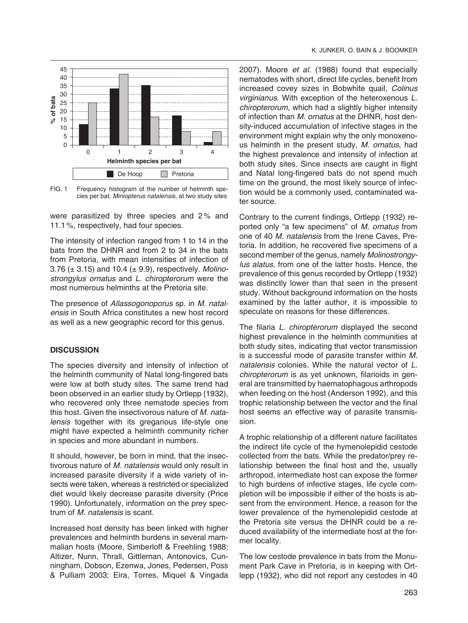

FIG. 1 Frequency histogram of the number of helminth species per bat, *Miniopterus natalensis*, at two study sites

were parasitized by three species and 2% and 11.1 %, respectively, had four species.

The intensity of infection ranged from 1 to 14 in the bats from the DHNR and from 2 to 34 in the bats from Pretoria, with mean intensities of infection of 3.76 (± 3.15) and 10.4 (± 9.9), respectively. *Molinostrongylus ornatus* and *L. chiropterorum* were the most numerous helminths at the Pretoria site.

The presence of *Allassogonoporus* sp. in *M. natalensis* in South Africa constitutes a new host record as well as a new geographic record for this genus.

#### **DISCUSSION**

The species diversity and intensity of infection of the helminth community of Natal long-fingered bats were low at both study sites. The same trend had been observed in an earlier study by Ortlepp (1932), who recovered only three nematode species from this host. Given the insectivorous nature of *M. natalen sis* together with its gregarious life-style one might have expected a helminth community richer in species and more abundant in numbers.

It should, however, be born in mind, that the insectivorous nature of *M. natalensis* would only result in increased parasite diversity if a wide variety of insects were taken, whereas a restricted or specialized diet would likely decrease parasite diversity (Price 1990). Unfortunately, information on the prey spectrum of *M. natalensis* is scant.

Increased host density has been linked with higher prevalences and helminth burdens in several mammalian hosts (Moore, Simberloff & Freehling 1988; Altizer, Nunn, Thrall, Gittleman, Antonovics, Cunningham, Dobson, Ezenwa, Jones, Pedersen, Poss & Pulliam 2003; Eira, Torres, Miquel & Vingada 2007). Moore *et al.* (1988) found that especially nem atodes with short, direct life cycles, benefit from increased covey sizes in Bobwhite quail, *Colinus virginianus*. With exception of the heteroxenous *L. chiropterorum*, which had a slightly higher intensity of infection than *M. ornatus* at the DHNR, host density-induced accumulation of infective stages in the environment might explain why the only monoxenous helminth in the present study, *M. ornatus*, had the highest prevalence and intensity of infection at both study sites. Since insects are caught in flight and Natal long-fingered bats do not spend much time on the ground, the most likely source of infection would be a commonly used, contaminated water source.

Contrary to the current findings, Ortlepp (1932) reported only "a few specimens" of *M. ornatus* from one of 40 *M. natalensis* from the Irene Caves, Pretoria. In addition, he recovered five specimens of a second member of the genus, namely *Molinostrongy*lus alatus, from one of the latter hosts. Hence, the prevalence of this genus recorded by Ortlepp (1932) was distinctly lower than that seen in the present study. Without background information on the hosts examined by the latter author, it is impossible to speculate on reasons for these differences.

The filaria *L. chiropterorum* displayed the second highest prevalence in the helminth communities at both study sites, indicating that vector transmission is a successful mode of parasite transfer within *M. natalensis* colonies. While the natural vector of *L. chiropterorum* is as yet unknown, filarioids in general are transmitted by haematophagous arthropods when feeding on the host (Anderson 1992), and this trophic relationship between the vector and the final host seems an effective way of parasite transmission.

A trophic relationship of a different nature facilitates the indirect life cycle of the hymenolepidid cestode collected from the bats. While the predator/prey relationship between the final host and the, usually arthropod, intermediate host can expose the former to high burdens of infective stages, life cycle completion will be impossible if either of the hosts is absent from the environment. Hence, a reason for the lower prevalence of the hymenolepidid cestode at the Pretoria site versus the DHNR could be a reduced availability of the intermediate host at the former locality.

The low cestode prevalence in bats from the Monument Park Cave in Pretoria, is in keeping with Ortlepp (1932), who did not report any cestodes in 40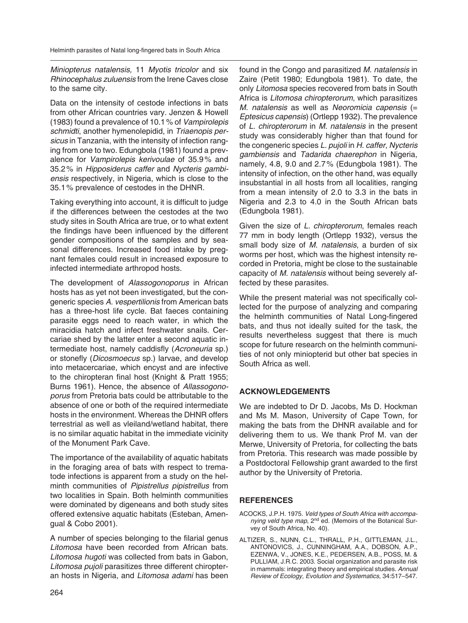*Miniopterus natalensis,* 11 *Myotis tricolor* and six *Rhinocephalus zuluensis* from the Irene Caves close to the same city*.*

Data on the intensity of cestode infections in bats from other African countries vary. Jenzen & Howell (1983) found a prevalence of 10.1 % of *Vampirolepis schmidti*, another hymenolepidid, in *Triaenopis persicus* in Tanzania, with the intensity of infection ranging from one to two. Edungbola (1981) found a prevalence for *Vampirolepis kerivoulae* of 35.9 % and 35.2% in *Hipposiderus caffer* and *Nycteris gambiensis* respectively, in Nigeria, which is close to the 35.1 % prevalence of cestodes in the DHNR.

Taking everything into account, it is difficult to judge if the differences between the cestodes at the two study sites in South Africa are true, or to what extent the findings have been influenced by the different gender compositions of the samples and by seasonal differences. Increased food intake by pregnant females could result in increased exposure to infected intermediate arthropod hosts.

The development of *Alassogonoporus* in African hosts has as yet not been investigated, but the congeneric species *A. vespertilionis* from American bats has a three-host life cycle. Bat faeces containing parasite eggs need to reach water, in which the miracidia hatch and infect freshwater snails. Cercariae shed by the latter enter a second aquatic intermediate host, namely caddisfly (*Acroneuria* sp.) or stonefly (*Dicosmoecus* sp.) larvae, and develop into metacercariae, which encyst and are infective to the chiropteran final host (Knight & Pratt 1955; Burns 1961). Hence, the absence of *Allassogonoporus* from Pretoria bats could be attributable to the absence of one or both of the required intermediate hosts in the environment. Whereas the DHNR offers terrestrial as well as vleiland/wetland habitat, there is no similar aquatic habitat in the immediate vicinity of the Monument Park Cave.

The importance of the availability of aquatic habitats in the foraging area of bats with respect to trematode infections is apparent from a study on the helminth communities of *Pipistrellus pipistrellus* from two localities in Spain. Both helminth communities were dominated by digeneans and both study sites offered extensive aquatic habitats (Esteban, Amengual & Cobo 2001).

A number of species belonging to the filarial genus *Litomosa* have been recorded from African bats. *Litomosa hugoti* was collected from bats in Gabon, *Litomosa pujoli* parasitizes three different chiropteran hosts in Nigeria, and *Litomosa adami* has been found in the Congo and parasitized *M. natalensis* in Zaire (Petit 1980; Edungbola 1981). To date, the only *Litomosa* species recovered from bats in South Africa is *Litomosa chiropterorum*, which parasitizes *M. natalensis* as well as *Neoromicia capensis* (= *Eptesicus capensis*) (Ortlepp 1932). The prevalence of *L. chiropterorum* in *M. natalensis* in the present study was considerably higher than that found for the congeneric species *L. pujoli* in *H. caffer*, *Nycteris gambiensis* and *Tadarida chaerephon* in Nigeria, namely, 4.8, 9.0 and 2.7 % (Edungbola 1981). The intensity of infection, on the other hand, was equally insubstantial in all hosts from all localities, ranging from a mean intensity of 2.0 to 3.3 in the bats in Nigeria and 2.3 to 4.0 in the South African bats (Edungbola 1981).

Given the size of *L. chiropterorum*, females reach 77 mm in body length (Ortlepp 1932), versus the small body size of *M. natalensis*, a burden of six worms per host, which was the highest intensity recorded in Pretoria, might be close to the sustainable capacity of *M. natalensis* without being severely affected by these parasites.

While the present material was not specifically collected for the purpose of analyzing and comparing the helminth communities of Natal Long-fingered bats, and thus not ideally suited for the task, the results nevertheless suggest that there is much scope for future research on the helminth communities of not only miniopterid but other bat species in South Africa as well.

## **ACKNOWLEDGEMENTS**

We are indebted to Dr D. Jacobs, Ms D. Hockman and Ms M. Mason, University of Cape Town, for making the bats from the DHNR available and for delivering them to us. We thank Prof M. van der Merwe, University of Pretoria, for collecting the bats from Pretoria. This research was made possible by a Postdoctoral Fellow ship grant awarded to the first author by the University of Pretoria.

## **REFERENCES**

- ACOCKS, J.P.H. 1975. *Veld types of South Africa with accompanying veld type map*, 2<sup>nd</sup> ed. (Memoirs of the Botanical Survey of South Africa, No. 40).
- ALTIZER, S., NUNN, C.L., THRALL, P.H., GITTLEMAN, J.L., ANTONOVICS, J., CUNNINGHAM, A.A., DOBSON, A.P., EZENWA, V., JONES, K.E., PEDERSEN, A.B., POSS, M. & PULLIAM, J.R.C. 2003. Social organization and parasite risk in mammals: integrating theory and empirical studies. *Annual Review of Ecology, Evolution and Systematics*, 34:517–547.